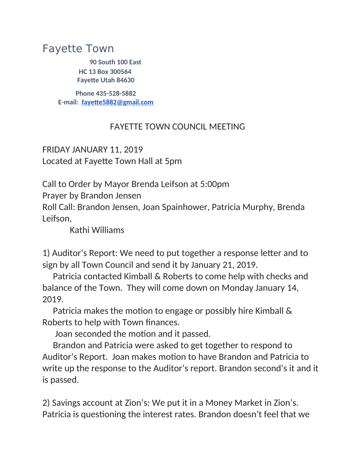## Fayette Town

**90 South 100 East HC 13 Box 300564 Fayette Utah 84630**

**Phone 435-528-5882 E-mail: [fayette5882@gmail.com](mailto:fayette5882@gmail.com)**

## FAYETTE TOWN COUNCIL MEETING

FRIDAY JANUARY 11, 2019 Located at Fayette Town Hall at 5pm

Call to Order by Mayor Brenda Leifson at 5:00pm

Prayer by Brandon Jensen

Roll Call: Brandon Jensen, Joan Spainhower, Patricia Murphy, Brenda Leifson,

Kathi Williams

1) Auditor's Report: We need to put together a response letter and to sign by all Town Council and send it by January 21, 2019.

 Patricia contacted Kimball & Roberts to come help with checks and balance of the Town. They will come down on Monday January 14, 2019.

 Patricia makes the motion to engage or possibly hire Kimball & Roberts to help with Town finances.

Joan seconded the motion and it passed.

 Brandon and Patricia were asked to get together to respond to Auditor's Report. Joan makes motion to have Brandon and Patricia to write up the response to the Auditor's report. Brandon second's it and it is passed.

2) Savings account at Zion's: We put it in a Money Market in Zion's. Patricia is questioning the interest rates. Brandon doesn't feel that we